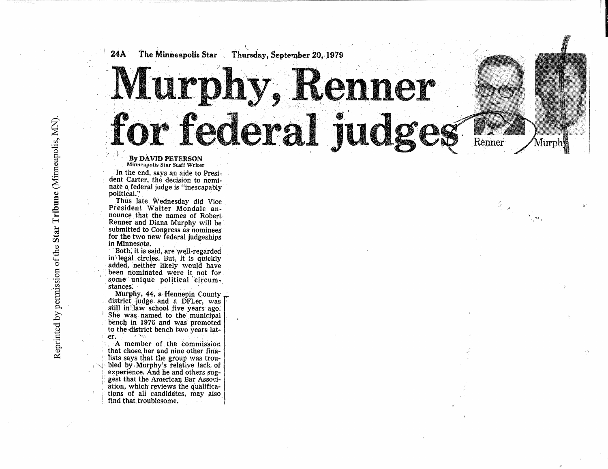## $24A$ Thursday, September 20. 1979 The Minneapolis Star Murphy, Renner for federal judges

Renner

 $\operatorname{MurphW}$ 

 $\frac{1}{\sqrt{2}}\mathbf{u}_\alpha$ 

By DAVID PETERSON<br>Minneapolis Star Staff Writer

In the end, says an aide to President Carter, the decision to nominate a federal judge is "inescapably political."

Thus late Wednesday did Vice President Walter Mondale announce that the names of Robert Renner and Diana Murphy will be submitted to Congress as nominees for the two new federal judgeships in Minnesota.

Both, it is said, are well-regarded in legal circles. But, it is quickly added, neither likely would have been nominated were it not for some unique political circumstances.

Murphy, 44, a Hennepin County district judge and a DFLer, was still in law school five years ago. She was named to the municipal bench in 1976 and was promoted to the district bench two years later.  $2 - 760.5$ 

A member of the commission that chose her and nine other finalists says that the group was troubled by Murphy's relative lack of experience. And he and others suggest that the American Bar Association, which reviews the qualifications of all candidates, may also find that troublesome.

Reprinted by permission of the Star Tribune (Minneapolis, MN).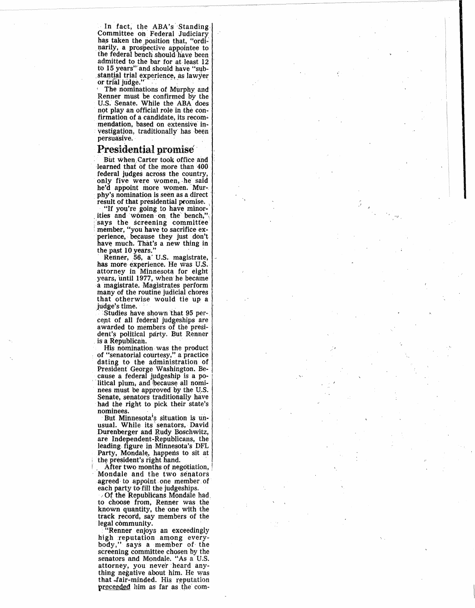In fact, the ABA's Standing Committee on Federal Judiciary has taken the position that, "ordinarily, a prospective appointee to the federal bench should have been admitted to the bar for at least 12<br>to 15 years" and should have "substantial trial experience, as lawyer or trial judge.'

The nominations of Murphy and Renner must be confirmed by the U.S. Senate. While the ABA does not play an official role in the confirmation of a candidate, its recommendation, based on extensive investigation, traditionally has been persuasive.

## **Presidential promise**

But when Carter took office and learned that of the more than 400 federal judges across the country, only five were women, he said he'd appoint more women. Murphy's nomination is seen as a direct result of that presidential promise.

"If you're going to have minorities and women on the bench, says the screening committee member, "you have to sacrifice experience, because they just don't have much. That's a new thing in the past 10 years."

Renner, 56, a' U.S. magistrate, has more experience. He was U.S. attorney in Minnesota for eight years, until 1977, when he became a magistrate. Magistrates perform many of the routine judicial chores that otherwise would tie up a judge's time.

Studies have shown that 95 percent of all federal judgeships are awarded to members of the president's political party. But Renner is a Republican.

His nomination was the product of "senatorial courtesy," a practice<br>dating to the administration of<br>President George Washington. Because a federal judgeship is a political plum, and because all nominees must be approved by the U.S. Senate, senators traditionally have had the right to pick their state's nominees.

But Minnesota's situation is unusual. While its senators, David Durenberger and Rudy Boschwitz, are Independent-Republicans, the leading figure in Minnesota's DFL Party, Mondale, happens to sit at the president's right hand.

After two months of negotiation, Mondale and the two senators agreed to appoint one member of each party to fill the judgeships.

Of the Republicans Mondale had, to choose from, Renner was the known quantity, the one with the<br>track record, say members of the legal community.

"Renner enjoys an exceedingly high reputation among every-<br>body," says a member of the screening committee chosen by the senators and Mondale. "As a U.S. attorney, you never heard anything negative about him. He was that fair-minded. His reputation preceeded him as far as the com